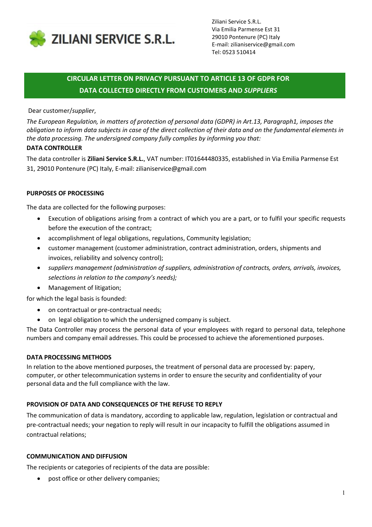

Ziliani Service S.R.L. Via Emilia Parmense Est 31 29010 Pontenure (PC) Italy E-mail: zilianiservice@gmail.com Tel: 0523 510414

# CIRCULAR LETTER ON PRIVACY PURSUANT TO ARTICLE 13 OF GDPR FOR DATA COLLECTED DIRECTLY FROM CUSTOMERS AND SUPPLIERS

## Dear customer/supplier,

The European Regulation, in matters of protection of personal data (GDPR) in Art.13, Paragraph1, imposes the obligation to inform data subjects in case of the direct collection of their data and on the fundamental elements in the data processing. The undersigned company fully complies by informing you that:

## DATA CONTROLLER

The data controller is Ziliani Service S.R.L., VAT number: IT01644480335, established in Via Emilia Parmense Est 31, 29010 Pontenure (PC) Italy, E-mail: zilianiservice@gmail.com

### PURPOSES OF PROCESSING

The data are collected for the following purposes:

- Execution of obligations arising from a contract of which you are a part, or to fulfil your specific requests before the execution of the contract;
- accomplishment of legal obligations, regulations, Community legislation;
- customer management (customer administration, contract administration, orders, shipments and invoices, reliability and solvency control);
- suppliers management (administration of suppliers, administration of contracts, orders, arrivals, invoices, selections in relation to the company's needs);
- Management of litigation;

for which the legal basis is founded:

- on contractual or pre-contractual needs;
- on legal obligation to which the undersigned company is subject.

The Data Controller may process the personal data of your employees with regard to personal data, telephone numbers and company email addresses. This could be processed to achieve the aforementioned purposes.

#### DATA PROCESSING METHODS

In relation to the above mentioned purposes, the treatment of personal data are processed by: papery, computer, or other telecommunication systems in order to ensure the security and confidentiality of your personal data and the full compliance with the law.

# PROVISION OF DATA AND CONSEQUENCES OF THE REFUSE TO REPLY

The communication of data is mandatory, according to applicable law, regulation, legislation or contractual and pre-contractual needs; your negation to reply will result in our incapacity to fulfill the obligations assumed in contractual relations;

#### COMMUNICATION AND DIFFUSION

The recipients or categories of recipients of the data are possible:

post office or other delivery companies;